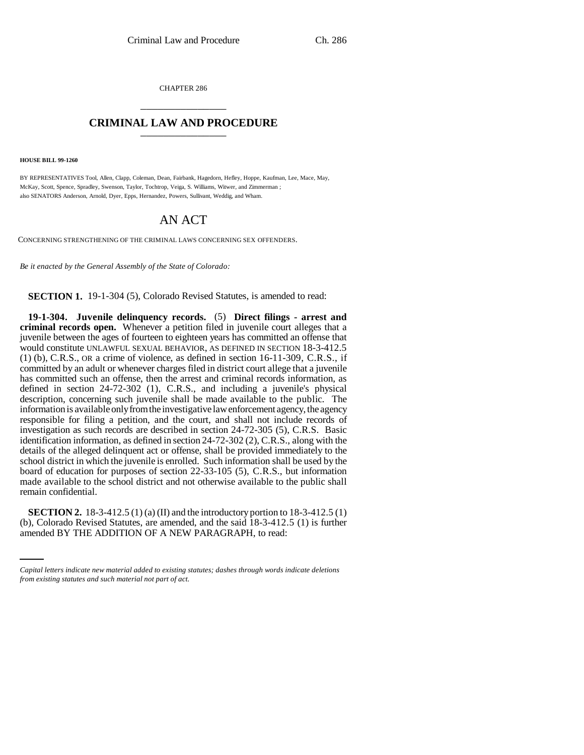CHAPTER 286 \_\_\_\_\_\_\_\_\_\_\_\_\_\_\_

## **CRIMINAL LAW AND PROCEDURE** \_\_\_\_\_\_\_\_\_\_\_\_\_\_\_

**HOUSE BILL 99-1260**

BY REPRESENTATIVES Tool, Allen, Clapp, Coleman, Dean, Fairbank, Hagedorn, Hefley, Hoppe, Kaufman, Lee, Mace, May, McKay, Scott, Spence, Spradley, Swenson, Taylor, Tochtrop, Veiga, S. Williams, Witwer, and Zimmerman ; also SENATORS Anderson, Arnold, Dyer, Epps, Hernandez, Powers, Sullivant, Weddig, and Wham.

# AN ACT

CONCERNING STRENGTHENING OF THE CRIMINAL LAWS CONCERNING SEX OFFENDERS.

*Be it enacted by the General Assembly of the State of Colorado:*

**SECTION 1.** 19-1-304 (5), Colorado Revised Statutes, is amended to read:

**19-1-304. Juvenile delinquency records.** (5) **Direct filings - arrest and criminal records open.** Whenever a petition filed in juvenile court alleges that a juvenile between the ages of fourteen to eighteen years has committed an offense that would constitute UNLAWFUL SEXUAL BEHAVIOR, AS DEFINED IN SECTION 18-3-412.5 (1) (b), C.R.S., OR a crime of violence, as defined in section 16-11-309, C.R.S., if committed by an adult or whenever charges filed in district court allege that a juvenile has committed such an offense, then the arrest and criminal records information, as defined in section 24-72-302 (1), C.R.S., and including a juvenile's physical description, concerning such juvenile shall be made available to the public. The information is available only from the investigative law enforcement agency, the agency responsible for filing a petition, and the court, and shall not include records of investigation as such records are described in section 24-72-305 (5), C.R.S. Basic identification information, as defined in section 24-72-302 (2), C.R.S., along with the details of the alleged delinquent act or offense, shall be provided immediately to the school district in which the juvenile is enrolled. Such information shall be used by the board of education for purposes of section 22-33-105 (5), C.R.S., but information made available to the school district and not otherwise available to the public shall remain confidential.

**SECTION 2.** 18-3-412.5 (1) (a) (II) and the introductory portion to 18-3-412.5 (1) (b), Colorado Revised Statutes, are amended, and the said 18-3-412.5 (1) is further amended BY THE ADDITION OF A NEW PARAGRAPH, to read:

*Capital letters indicate new material added to existing statutes; dashes through words indicate deletions from existing statutes and such material not part of act.*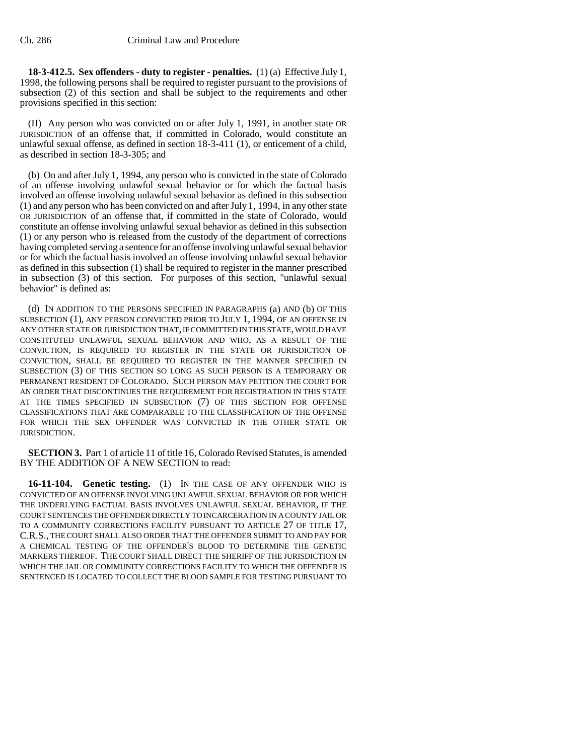**18-3-412.5. Sex offenders - duty to register - penalties.** (1) (a) Effective July 1, 1998, the following persons shall be required to register pursuant to the provisions of subsection (2) of this section and shall be subject to the requirements and other provisions specified in this section:

(II) Any person who was convicted on or after July 1, 1991, in another state OR JURISDICTION of an offense that, if committed in Colorado, would constitute an unlawful sexual offense, as defined in section 18-3-411 (1), or enticement of a child, as described in section 18-3-305; and

(b) On and after July 1, 1994, any person who is convicted in the state of Colorado of an offense involving unlawful sexual behavior or for which the factual basis involved an offense involving unlawful sexual behavior as defined in this subsection (1) and any person who has been convicted on and after July 1, 1994, in any other state OR JURISDICTION of an offense that, if committed in the state of Colorado, would constitute an offense involving unlawful sexual behavior as defined in this subsection (1) or any person who is released from the custody of the department of corrections having completed serving a sentence for an offense involving unlawful sexual behavior or for which the factual basis involved an offense involving unlawful sexual behavior as defined in this subsection (1) shall be required to register in the manner prescribed in subsection (3) of this section. For purposes of this section, "unlawful sexual behavior" is defined as:

(d) IN ADDITION TO THE PERSONS SPECIFIED IN PARAGRAPHS (a) AND (b) OF THIS SUBSECTION (1), ANY PERSON CONVICTED PRIOR TO JULY 1, 1994, OF AN OFFENSE IN ANY OTHER STATE OR JURISDICTION THAT, IF COMMITTED IN THIS STATE, WOULD HAVE CONSTITUTED UNLAWFUL SEXUAL BEHAVIOR AND WHO, AS A RESULT OF THE CONVICTION, IS REQUIRED TO REGISTER IN THE STATE OR JURISDICTION OF CONVICTION, SHALL BE REQUIRED TO REGISTER IN THE MANNER SPECIFIED IN SUBSECTION (3) OF THIS SECTION SO LONG AS SUCH PERSON IS A TEMPORARY OR PERMANENT RESIDENT OF COLORADO. SUCH PERSON MAY PETITION THE COURT FOR AN ORDER THAT DISCONTINUES THE REQUIREMENT FOR REGISTRATION IN THIS STATE AT THE TIMES SPECIFIED IN SUBSECTION (7) OF THIS SECTION FOR OFFENSE CLASSIFICATIONS THAT ARE COMPARABLE TO THE CLASSIFICATION OF THE OFFENSE FOR WHICH THE SEX OFFENDER WAS CONVICTED IN THE OTHER STATE OR JURISDICTION.

**SECTION 3.** Part 1 of article 11 of title 16, Colorado Revised Statutes, is amended BY THE ADDITION OF A NEW SECTION to read:

**16-11-104. Genetic testing.** (1) IN THE CASE OF ANY OFFENDER WHO IS CONVICTED OF AN OFFENSE INVOLVING UNLAWFUL SEXUAL BEHAVIOR OR FOR WHICH THE UNDERLYING FACTUAL BASIS INVOLVES UNLAWFUL SEXUAL BEHAVIOR, IF THE COURT SENTENCES THE OFFENDER DIRECTLY TO INCARCERATION IN A COUNTY JAIL OR TO A COMMUNITY CORRECTIONS FACILITY PURSUANT TO ARTICLE 27 OF TITLE 17, C.R.S., THE COURT SHALL ALSO ORDER THAT THE OFFENDER SUBMIT TO AND PAY FOR A CHEMICAL TESTING OF THE OFFENDER'S BLOOD TO DETERMINE THE GENETIC MARKERS THEREOF. THE COURT SHALL DIRECT THE SHERIFF OF THE JURISDICTION IN WHICH THE JAIL OR COMMUNITY CORRECTIONS FACILITY TO WHICH THE OFFENDER IS SENTENCED IS LOCATED TO COLLECT THE BLOOD SAMPLE FOR TESTING PURSUANT TO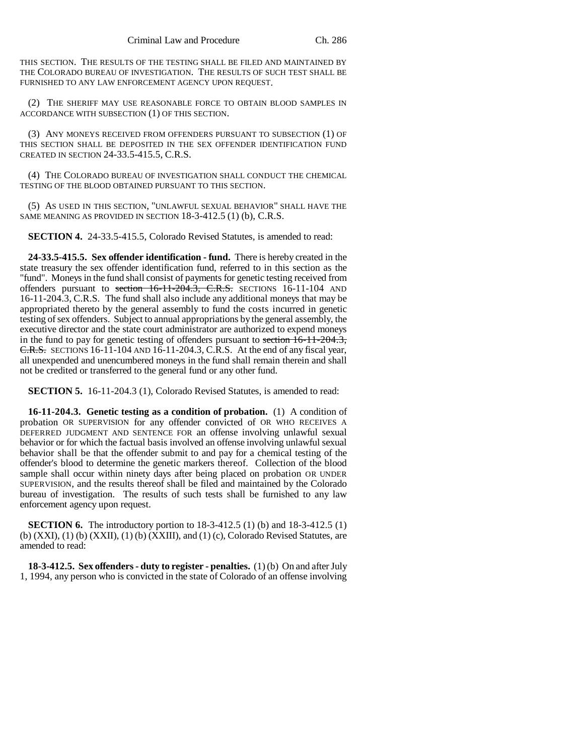THIS SECTION. THE RESULTS OF THE TESTING SHALL BE FILED AND MAINTAINED BY THE COLORADO BUREAU OF INVESTIGATION. THE RESULTS OF SUCH TEST SHALL BE FURNISHED TO ANY LAW ENFORCEMENT AGENCY UPON REQUEST.

(2) THE SHERIFF MAY USE REASONABLE FORCE TO OBTAIN BLOOD SAMPLES IN ACCORDANCE WITH SUBSECTION (1) OF THIS SECTION.

(3) ANY MONEYS RECEIVED FROM OFFENDERS PURSUANT TO SUBSECTION (1) OF THIS SECTION SHALL BE DEPOSITED IN THE SEX OFFENDER IDENTIFICATION FUND CREATED IN SECTION 24-33.5-415.5, C.R.S.

(4) THE COLORADO BUREAU OF INVESTIGATION SHALL CONDUCT THE CHEMICAL TESTING OF THE BLOOD OBTAINED PURSUANT TO THIS SECTION.

(5) AS USED IN THIS SECTION, "UNLAWFUL SEXUAL BEHAVIOR" SHALL HAVE THE SAME MEANING AS PROVIDED IN SECTION 18-3-412.5 (1) (b), C.R.S.

**SECTION 4.** 24-33.5-415.5, Colorado Revised Statutes, is amended to read:

**24-33.5-415.5. Sex offender identification - fund.** There is hereby created in the state treasury the sex offender identification fund, referred to in this section as the "fund". Moneys in the fund shall consist of payments for genetic testing received from offenders pursuant to section  $16-11-204.3$ , C.R.S. SECTIONS 16-11-104 AND 16-11-204.3, C.R.S. The fund shall also include any additional moneys that may be appropriated thereto by the general assembly to fund the costs incurred in genetic testing of sex offenders. Subject to annual appropriations by the general assembly, the executive director and the state court administrator are authorized to expend moneys in the fund to pay for genetic testing of offenders pursuant to section  $\overline{16-11-204.3}$ , C.R.S. SECTIONS 16-11-104 AND 16-11-204.3, C.R.S. At the end of any fiscal year, all unexpended and unencumbered moneys in the fund shall remain therein and shall not be credited or transferred to the general fund or any other fund.

**SECTION 5.** 16-11-204.3 (1), Colorado Revised Statutes, is amended to read:

**16-11-204.3. Genetic testing as a condition of probation.** (1) A condition of probation OR SUPERVISION for any offender convicted of OR WHO RECEIVES A DEFERRED JUDGMENT AND SENTENCE FOR an offense involving unlawful sexual behavior or for which the factual basis involved an offense involving unlawful sexual behavior shall be that the offender submit to and pay for a chemical testing of the offender's blood to determine the genetic markers thereof. Collection of the blood sample shall occur within ninety days after being placed on probation OR UNDER SUPERVISION, and the results thereof shall be filed and maintained by the Colorado bureau of investigation. The results of such tests shall be furnished to any law enforcement agency upon request.

**SECTION 6.** The introductory portion to 18-3-412.5 (1) (b) and 18-3-412.5 (1) (b) (XXI), (1) (b) (XXII), (1) (b) (XXIII), and (1) (c), Colorado Revised Statutes, are amended to read:

**18-3-412.5. Sex offenders - duty to register - penalties.** (1) (b) On and after July 1, 1994, any person who is convicted in the state of Colorado of an offense involving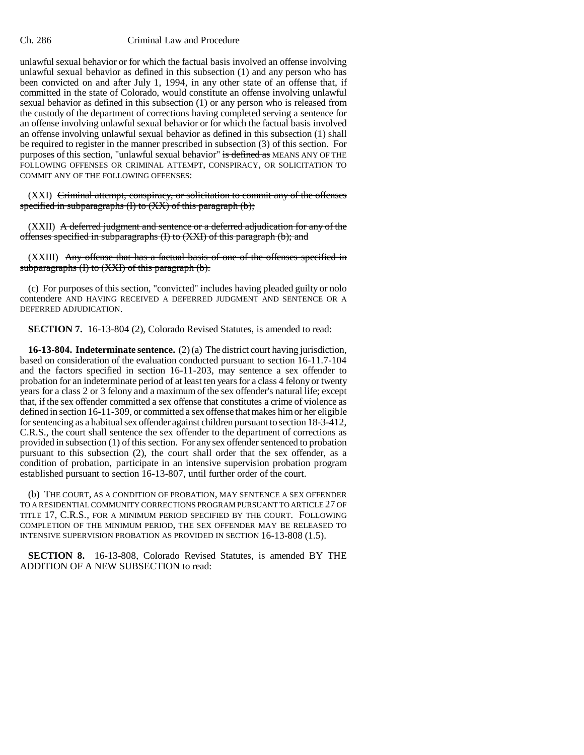unlawful sexual behavior or for which the factual basis involved an offense involving unlawful sexual behavior as defined in this subsection (1) and any person who has been convicted on and after July 1, 1994, in any other state of an offense that, if committed in the state of Colorado, would constitute an offense involving unlawful sexual behavior as defined in this subsection (1) or any person who is released from the custody of the department of corrections having completed serving a sentence for an offense involving unlawful sexual behavior or for which the factual basis involved an offense involving unlawful sexual behavior as defined in this subsection (1) shall be required to register in the manner prescribed in subsection (3) of this section. For purposes of this section, "unlawful sexual behavior" is defined as MEANS ANY OF THE FOLLOWING OFFENSES OR CRIMINAL ATTEMPT, CONSPIRACY, OR SOLICITATION TO COMMIT ANY OF THE FOLLOWING OFFENSES:

(XXI) Criminal attempt, conspiracy, or solicitation to commit any of the offenses specified in subparagraphs  $(I)$  to  $(XX)$  of this paragraph  $(b)$ ;

 $(XXII)$  A deferred judgment and sentence or a deferred adjudication for any of the offenses specified in subparagraphs (I) to (XXI) of this paragraph (b); and

(XXIII) Any offense that has a factual basis of one of the offenses specified in subparagraphs (I) to (XXI) of this paragraph (b).

(c) For purposes of this section, "convicted" includes having pleaded guilty or nolo contendere AND HAVING RECEIVED A DEFERRED JUDGMENT AND SENTENCE OR A DEFERRED ADJUDICATION.

**SECTION 7.** 16-13-804 (2), Colorado Revised Statutes, is amended to read:

**16-13-804. Indeterminate sentence.** (2) (a) The district court having jurisdiction, based on consideration of the evaluation conducted pursuant to section 16-11.7-104 and the factors specified in section 16-11-203, may sentence a sex offender to probation for an indeterminate period of at least ten years for a class 4 felony or twenty years for a class 2 or 3 felony and a maximum of the sex offender's natural life; except that, if the sex offender committed a sex offense that constitutes a crime of violence as defined in section 16-11-309, or committed a sex offense that makes him or her eligible for sentencing as a habitual sex offender against children pursuant to section 18-3-412, C.R.S., the court shall sentence the sex offender to the department of corrections as provided in subsection (1) of this section. For any sex offender sentenced to probation pursuant to this subsection (2), the court shall order that the sex offender, as a condition of probation, participate in an intensive supervision probation program established pursuant to section 16-13-807, until further order of the court.

(b) THE COURT, AS A CONDITION OF PROBATION, MAY SENTENCE A SEX OFFENDER TO A RESIDENTIAL COMMUNITY CORRECTIONS PROGRAM PURSUANT TO ARTICLE 27 OF TITLE 17, C.R.S., FOR A MINIMUM PERIOD SPECIFIED BY THE COURT. FOLLOWING COMPLETION OF THE MINIMUM PERIOD, THE SEX OFFENDER MAY BE RELEASED TO INTENSIVE SUPERVISION PROBATION AS PROVIDED IN SECTION 16-13-808 (1.5).

**SECTION 8.** 16-13-808, Colorado Revised Statutes, is amended BY THE ADDITION OF A NEW SUBSECTION to read: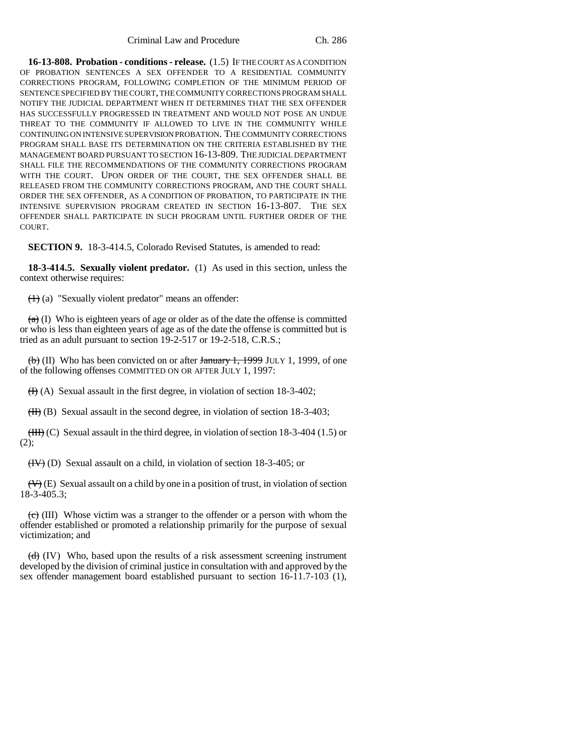**16-13-808. Probation - conditions - release.** (1.5) IF THE COURT AS A CONDITION OF PROBATION SENTENCES A SEX OFFENDER TO A RESIDENTIAL COMMUNITY CORRECTIONS PROGRAM, FOLLOWING COMPLETION OF THE MINIMUM PERIOD OF SENTENCE SPECIFIED BY THE COURT, THE COMMUNITY CORRECTIONS PROGRAM SHALL NOTIFY THE JUDICIAL DEPARTMENT WHEN IT DETERMINES THAT THE SEX OFFENDER HAS SUCCESSFULLY PROGRESSED IN TREATMENT AND WOULD NOT POSE AN UNDUE THREAT TO THE COMMUNITY IF ALLOWED TO LIVE IN THE COMMUNITY WHILE CONTINUING ON INTENSIVE SUPERVISION PROBATION. THE COMMUNITY CORRECTIONS PROGRAM SHALL BASE ITS DETERMINATION ON THE CRITERIA ESTABLISHED BY THE MANAGEMENT BOARD PURSUANT TO SECTION 16-13-809. THE JUDICIAL DEPARTMENT SHALL FILE THE RECOMMENDATIONS OF THE COMMUNITY CORRECTIONS PROGRAM WITH THE COURT. UPON ORDER OF THE COURT, THE SEX OFFENDER SHALL BE RELEASED FROM THE COMMUNITY CORRECTIONS PROGRAM, AND THE COURT SHALL ORDER THE SEX OFFENDER, AS A CONDITION OF PROBATION, TO PARTICIPATE IN THE INTENSIVE SUPERVISION PROGRAM CREATED IN SECTION 16-13-807. THE SEX OFFENDER SHALL PARTICIPATE IN SUCH PROGRAM UNTIL FURTHER ORDER OF THE COURT.

**SECTION 9.** 18-3-414.5, Colorado Revised Statutes, is amended to read:

**18-3-414.5. Sexually violent predator.** (1) As used in this section, unless the context otherwise requires:

(1) (a) "Sexually violent predator" means an offender:

 $(a)$  (I) Who is eighteen years of age or older as of the date the offense is committed or who is less than eighteen years of age as of the date the offense is committed but is tried as an adult pursuant to section 19-2-517 or 19-2-518, C.R.S.;

 $\overline{(b)}$  (II) Who has been convicted on or after January 1, 1999 JULY 1, 1999, of one of the following offenses COMMITTED ON OR AFTER JULY 1, 1997:

 $(H)$  (A) Sexual assault in the first degree, in violation of section 18-3-402;

 $(H)$  (B) Sexual assault in the second degree, in violation of section 18-3-403;

 $(HH)$  (C) Sexual assault in the third degree, in violation of section 18-3-404 (1.5) or (2);

(IV) (D) Sexual assault on a child, in violation of section 18-3-405; or

 $(\forall)$  (E) Sexual assault on a child by one in a position of trust, in violation of section 18-3-405.3;

 $(e)$  (III) Whose victim was a stranger to the offender or a person with whom the offender established or promoted a relationship primarily for the purpose of sexual victimization; and

 $(d)$  (IV) Who, based upon the results of a risk assessment screening instrument developed by the division of criminal justice in consultation with and approved by the sex offender management board established pursuant to section 16-11.7-103 (1),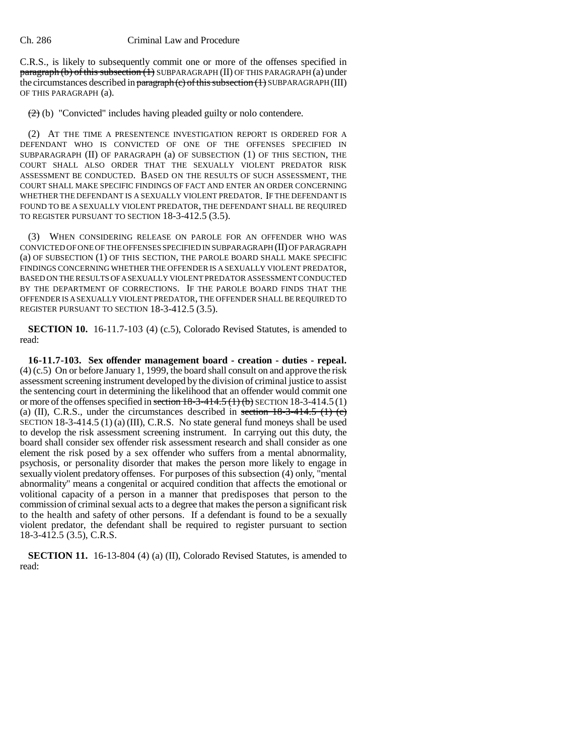C.R.S., is likely to subsequently commit one or more of the offenses specified in  $\frac{\pi}{4}$  paragraph (b) of this subsection (1) SUBPARAGRAPH (II) OF THIS PARAGRAPH (a) under the circumstances described in paragraph (c) of this subsection  $(1)$  SUBPARAGRAPH (III) OF THIS PARAGRAPH (a).

 $(2)$  (b) "Convicted" includes having pleaded guilty or nolo contendere.

(2) AT THE TIME A PRESENTENCE INVESTIGATION REPORT IS ORDERED FOR A DEFENDANT WHO IS CONVICTED OF ONE OF THE OFFENSES SPECIFIED IN SUBPARAGRAPH (II) OF PARAGRAPH (a) OF SUBSECTION (1) OF THIS SECTION, THE COURT SHALL ALSO ORDER THAT THE SEXUALLY VIOLENT PREDATOR RISK ASSESSMENT BE CONDUCTED. BASED ON THE RESULTS OF SUCH ASSESSMENT, THE COURT SHALL MAKE SPECIFIC FINDINGS OF FACT AND ENTER AN ORDER CONCERNING WHETHER THE DEFENDANT IS A SEXUALLY VIOLENT PREDATOR. IF THE DEFENDANT IS FOUND TO BE A SEXUALLY VIOLENT PREDATOR, THE DEFENDANT SHALL BE REQUIRED TO REGISTER PURSUANT TO SECTION 18-3-412.5 (3.5).

(3) WHEN CONSIDERING RELEASE ON PAROLE FOR AN OFFENDER WHO WAS CONVICTED OF ONE OF THE OFFENSES SPECIFIED IN SUBPARAGRAPH (II) OF PARAGRAPH (a) OF SUBSECTION (1) OF THIS SECTION, THE PAROLE BOARD SHALL MAKE SPECIFIC FINDINGS CONCERNING WHETHER THE OFFENDER IS A SEXUALLY VIOLENT PREDATOR, BASED ON THE RESULTS OF A SEXUALLY VIOLENT PREDATOR ASSESSMENT CONDUCTED BY THE DEPARTMENT OF CORRECTIONS. IF THE PAROLE BOARD FINDS THAT THE OFFENDER IS A SEXUALLY VIOLENT PREDATOR, THE OFFENDER SHALL BE REQUIRED TO REGISTER PURSUANT TO SECTION 18-3-412.5 (3.5).

**SECTION 10.** 16-11.7-103 (4) (c.5), Colorado Revised Statutes, is amended to read:

**16-11.7-103. Sex offender management board - creation - duties - repeal.** (4) (c.5) On or before January 1, 1999, the board shall consult on and approve the risk assessment screening instrument developed by the division of criminal justice to assist the sentencing court in determining the likelihood that an offender would commit one or more of the offenses specified in section  $18-3-414.5$  (1) (b) SECTION 18-3-414.5 (1) (a) (II), C.R.S., under the circumstances described in section  $18-3-414.5$  (1) (c) SECTION 18-3-414.5 (1) (a) (III), C.R.S. No state general fund moneys shall be used to develop the risk assessment screening instrument. In carrying out this duty, the board shall consider sex offender risk assessment research and shall consider as one element the risk posed by a sex offender who suffers from a mental abnormality, psychosis, or personality disorder that makes the person more likely to engage in sexually violent predatory offenses. For purposes of this subsection (4) only, "mental abnormality" means a congenital or acquired condition that affects the emotional or volitional capacity of a person in a manner that predisposes that person to the commission of criminal sexual acts to a degree that makes the person a significant risk to the health and safety of other persons. If a defendant is found to be a sexually violent predator, the defendant shall be required to register pursuant to section 18-3-412.5 (3.5), C.R.S.

**SECTION 11.** 16-13-804 (4) (a) (II), Colorado Revised Statutes, is amended to read: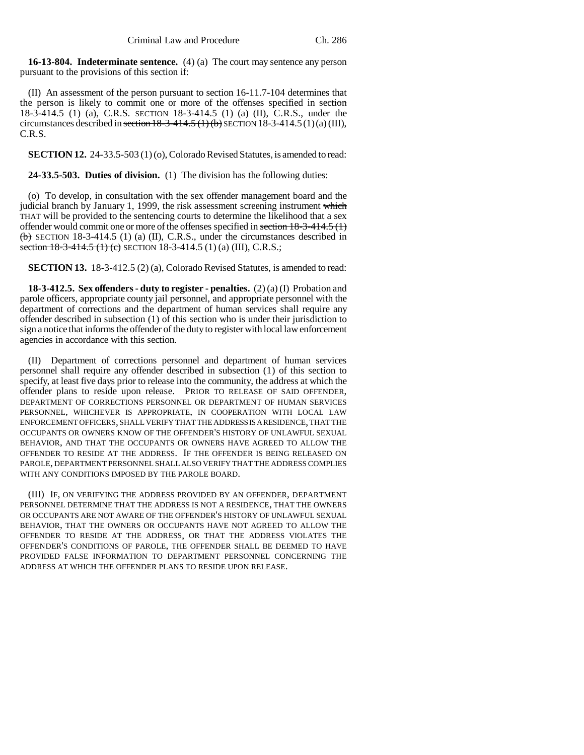**16-13-804. Indeterminate sentence.** (4) (a) The court may sentence any person pursuant to the provisions of this section if:

(II) An assessment of the person pursuant to section 16-11.7-104 determines that the person is likely to commit one or more of the offenses specified in section 18-3-414.5 (1) (a), C.R.S. SECTION 18-3-414.5 (1) (a) (II), C.R.S., under the circumstances described in section  $18-3-414.5$  (1) (b) SECTION 18-3-414.5 (1)(a) (III), C.R.S.

**SECTION 12.** 24-33.5-503 (1) (o), Colorado Revised Statutes, is amended to read:

**24-33.5-503. Duties of division.** (1) The division has the following duties:

(o) To develop, in consultation with the sex offender management board and the judicial branch by January 1, 1999, the risk assessment screening instrument which THAT will be provided to the sentencing courts to determine the likelihood that a sex offender would commit one or more of the offenses specified in section  $18-3-414.5$  (1)  $(b)$  SECTION 18-3-414.5 (1) (a) (II), C.R.S., under the circumstances described in section 18-3-414.5 (1) (e) SECTION 18-3-414.5 (1) (a) (III), C.R.S.;

**SECTION 13.** 18-3-412.5 (2) (a), Colorado Revised Statutes, is amended to read:

**18-3-412.5. Sex offenders - duty to register - penalties.** (2) (a) (I) Probation and parole officers, appropriate county jail personnel, and appropriate personnel with the department of corrections and the department of human services shall require any offender described in subsection (1) of this section who is under their jurisdiction to sign a notice that informs the offender of the duty to register with local law enforcement agencies in accordance with this section.

(II) Department of corrections personnel and department of human services personnel shall require any offender described in subsection (1) of this section to specify, at least five days prior to release into the community, the address at which the offender plans to reside upon release. PRIOR TO RELEASE OF SAID OFFENDER, DEPARTMENT OF CORRECTIONS PERSONNEL OR DEPARTMENT OF HUMAN SERVICES PERSONNEL, WHICHEVER IS APPROPRIATE, IN COOPERATION WITH LOCAL LAW ENFORCEMENT OFFICERS, SHALL VERIFY THAT THE ADDRESS IS A RESIDENCE, THAT THE OCCUPANTS OR OWNERS KNOW OF THE OFFENDER'S HISTORY OF UNLAWFUL SEXUAL BEHAVIOR, AND THAT THE OCCUPANTS OR OWNERS HAVE AGREED TO ALLOW THE OFFENDER TO RESIDE AT THE ADDRESS. IF THE OFFENDER IS BEING RELEASED ON PAROLE, DEPARTMENT PERSONNEL SHALL ALSO VERIFY THAT THE ADDRESS COMPLIES WITH ANY CONDITIONS IMPOSED BY THE PAROLE BOARD.

(III) IF, ON VERIFYING THE ADDRESS PROVIDED BY AN OFFENDER, DEPARTMENT PERSONNEL DETERMINE THAT THE ADDRESS IS NOT A RESIDENCE, THAT THE OWNERS OR OCCUPANTS ARE NOT AWARE OF THE OFFENDER'S HISTORY OF UNLAWFUL SEXUAL BEHAVIOR, THAT THE OWNERS OR OCCUPANTS HAVE NOT AGREED TO ALLOW THE OFFENDER TO RESIDE AT THE ADDRESS, OR THAT THE ADDRESS VIOLATES THE OFFENDER'S CONDITIONS OF PAROLE, THE OFFENDER SHALL BE DEEMED TO HAVE PROVIDED FALSE INFORMATION TO DEPARTMENT PERSONNEL CONCERNING THE ADDRESS AT WHICH THE OFFENDER PLANS TO RESIDE UPON RELEASE.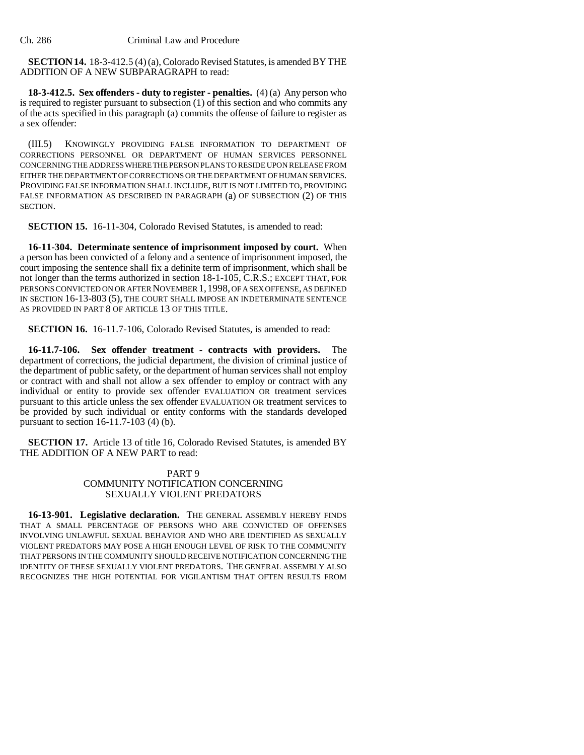**SECTION 14.** 18-3-412.5 (4) (a), Colorado Revised Statutes, is amended BY THE ADDITION OF A NEW SUBPARAGRAPH to read:

**18-3-412.5. Sex offenders - duty to register - penalties.** (4) (a) Any person who is required to register pursuant to subsection (1) of this section and who commits any of the acts specified in this paragraph (a) commits the offense of failure to register as a sex offender:

(III.5) KNOWINGLY PROVIDING FALSE INFORMATION TO DEPARTMENT OF CORRECTIONS PERSONNEL OR DEPARTMENT OF HUMAN SERVICES PERSONNEL CONCERNING THE ADDRESS WHERE THE PERSON PLANS TO RESIDE UPON RELEASE FROM EITHER THE DEPARTMENT OF CORRECTIONS OR THE DEPARTMENT OF HUMAN SERVICES. PROVIDING FALSE INFORMATION SHALL INCLUDE, BUT IS NOT LIMITED TO, PROVIDING FALSE INFORMATION AS DESCRIBED IN PARAGRAPH (a) OF SUBSECTION (2) OF THIS SECTION.

**SECTION 15.** 16-11-304, Colorado Revised Statutes, is amended to read:

**16-11-304. Determinate sentence of imprisonment imposed by court.** When a person has been convicted of a felony and a sentence of imprisonment imposed, the court imposing the sentence shall fix a definite term of imprisonment, which shall be not longer than the terms authorized in section 18-1-105, C.R.S.; EXCEPT THAT, FOR PERSONS CONVICTED ON OR AFTER NOVEMBER 1,1998, OF A SEX OFFENSE, AS DEFINED IN SECTION 16-13-803 (5), THE COURT SHALL IMPOSE AN INDETERMINATE SENTENCE AS PROVIDED IN PART 8 OF ARTICLE 13 OF THIS TITLE.

**SECTION 16.** 16-11.7-106, Colorado Revised Statutes, is amended to read:

16-11.7-106. Sex offender treatment - contracts with providers. department of corrections, the judicial department, the division of criminal justice of the department of public safety, or the department of human services shall not employ or contract with and shall not allow a sex offender to employ or contract with any individual or entity to provide sex offender EVALUATION OR treatment services pursuant to this article unless the sex offender EVALUATION OR treatment services to be provided by such individual or entity conforms with the standards developed pursuant to section 16-11.7-103 (4) (b).

**SECTION 17.** Article 13 of title 16, Colorado Revised Statutes, is amended BY THE ADDITION OF A NEW PART to read:

### PART 9 COMMUNITY NOTIFICATION CONCERNING SEXUALLY VIOLENT PREDATORS

16-13-901. Legislative declaration. THE GENERAL ASSEMBLY HEREBY FINDS THAT A SMALL PERCENTAGE OF PERSONS WHO ARE CONVICTED OF OFFENSES INVOLVING UNLAWFUL SEXUAL BEHAVIOR AND WHO ARE IDENTIFIED AS SEXUALLY VIOLENT PREDATORS MAY POSE A HIGH ENOUGH LEVEL OF RISK TO THE COMMUNITY THAT PERSONS IN THE COMMUNITY SHOULD RECEIVE NOTIFICATION CONCERNING THE IDENTITY OF THESE SEXUALLY VIOLENT PREDATORS. THE GENERAL ASSEMBLY ALSO RECOGNIZES THE HIGH POTENTIAL FOR VIGILANTISM THAT OFTEN RESULTS FROM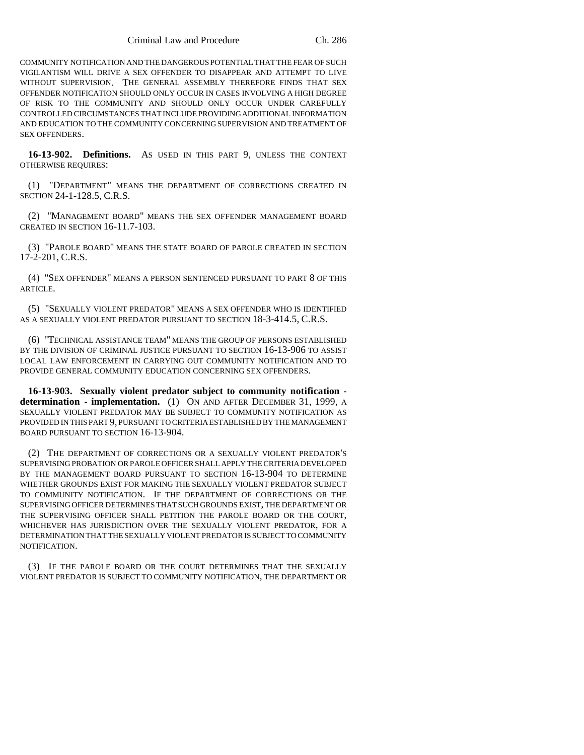COMMUNITY NOTIFICATION AND THE DANGEROUS POTENTIAL THAT THE FEAR OF SUCH VIGILANTISM WILL DRIVE A SEX OFFENDER TO DISAPPEAR AND ATTEMPT TO LIVE WITHOUT SUPERVISION. THE GENERAL ASSEMBLY THEREFORE FINDS THAT SEX OFFENDER NOTIFICATION SHOULD ONLY OCCUR IN CASES INVOLVING A HIGH DEGREE OF RISK TO THE COMMUNITY AND SHOULD ONLY OCCUR UNDER CAREFULLY CONTROLLED CIRCUMSTANCES THAT INCLUDE PROVIDING ADDITIONAL INFORMATION AND EDUCATION TO THE COMMUNITY CONCERNING SUPERVISION AND TREATMENT OF SEX OFFENDERS.

**16-13-902. Definitions.** AS USED IN THIS PART 9, UNLESS THE CONTEXT OTHERWISE REQUIRES:

(1) "DEPARTMENT" MEANS THE DEPARTMENT OF CORRECTIONS CREATED IN SECTION 24-1-128.5, C.R.S.

(2) "MANAGEMENT BOARD" MEANS THE SEX OFFENDER MANAGEMENT BOARD CREATED IN SECTION 16-11.7-103.

(3) "PAROLE BOARD" MEANS THE STATE BOARD OF PAROLE CREATED IN SECTION 17-2-201, C.R.S.

(4) "SEX OFFENDER" MEANS A PERSON SENTENCED PURSUANT TO PART 8 OF THIS ARTICLE.

(5) "SEXUALLY VIOLENT PREDATOR" MEANS A SEX OFFENDER WHO IS IDENTIFIED AS A SEXUALLY VIOLENT PREDATOR PURSUANT TO SECTION 18-3-414.5, C.R.S.

(6) "TECHNICAL ASSISTANCE TEAM" MEANS THE GROUP OF PERSONS ESTABLISHED BY THE DIVISION OF CRIMINAL JUSTICE PURSUANT TO SECTION 16-13-906 TO ASSIST LOCAL LAW ENFORCEMENT IN CARRYING OUT COMMUNITY NOTIFICATION AND TO PROVIDE GENERAL COMMUNITY EDUCATION CONCERNING SEX OFFENDERS.

**16-13-903. Sexually violent predator subject to community notification determination - implementation.** (1) ON AND AFTER DECEMBER 31, 1999, A SEXUALLY VIOLENT PREDATOR MAY BE SUBJECT TO COMMUNITY NOTIFICATION AS PROVIDED IN THIS PART 9, PURSUANT TO CRITERIA ESTABLISHED BY THE MANAGEMENT BOARD PURSUANT TO SECTION 16-13-904.

(2) THE DEPARTMENT OF CORRECTIONS OR A SEXUALLY VIOLENT PREDATOR'S SUPERVISING PROBATION OR PAROLE OFFICER SHALL APPLY THE CRITERIA DEVELOPED BY THE MANAGEMENT BOARD PURSUANT TO SECTION 16-13-904 TO DETERMINE WHETHER GROUNDS EXIST FOR MAKING THE SEXUALLY VIOLENT PREDATOR SUBJECT TO COMMUNITY NOTIFICATION. IF THE DEPARTMENT OF CORRECTIONS OR THE SUPERVISING OFFICER DETERMINES THAT SUCH GROUNDS EXIST, THE DEPARTMENT OR THE SUPERVISING OFFICER SHALL PETITION THE PAROLE BOARD OR THE COURT, WHICHEVER HAS JURISDICTION OVER THE SEXUALLY VIOLENT PREDATOR, FOR A DETERMINATION THAT THE SEXUALLY VIOLENT PREDATOR IS SUBJECT TO COMMUNITY NOTIFICATION.

(3) IF THE PAROLE BOARD OR THE COURT DETERMINES THAT THE SEXUALLY VIOLENT PREDATOR IS SUBJECT TO COMMUNITY NOTIFICATION, THE DEPARTMENT OR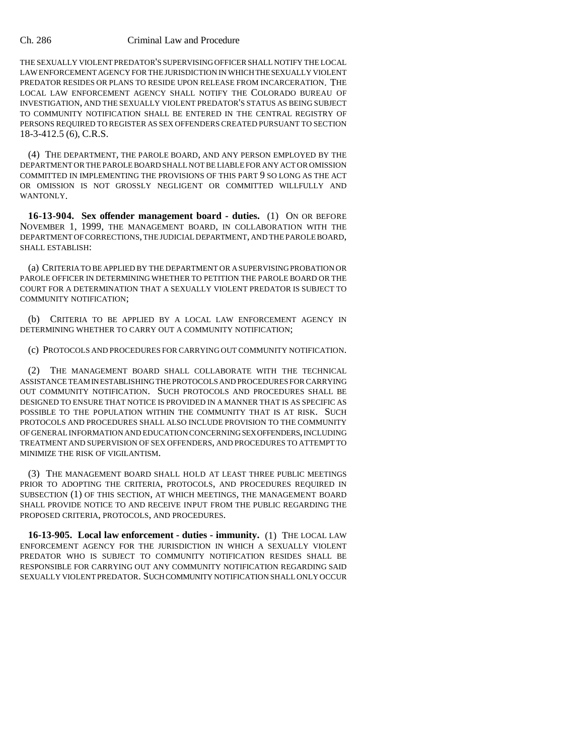THE SEXUALLY VIOLENT PREDATOR'S SUPERVISING OFFICER SHALL NOTIFY THE LOCAL LAW ENFORCEMENT AGENCY FOR THE JURISDICTION IN WHICH THE SEXUALLY VIOLENT PREDATOR RESIDES OR PLANS TO RESIDE UPON RELEASE FROM INCARCERATION. THE LOCAL LAW ENFORCEMENT AGENCY SHALL NOTIFY THE COLORADO BUREAU OF INVESTIGATION, AND THE SEXUALLY VIOLENT PREDATOR'S STATUS AS BEING SUBJECT TO COMMUNITY NOTIFICATION SHALL BE ENTERED IN THE CENTRAL REGISTRY OF PERSONS REQUIRED TO REGISTER AS SEX OFFENDERS CREATED PURSUANT TO SECTION 18-3-412.5 (6), C.R.S.

(4) THE DEPARTMENT, THE PAROLE BOARD, AND ANY PERSON EMPLOYED BY THE DEPARTMENT OR THE PAROLE BOARD SHALL NOT BE LIABLE FOR ANY ACT OR OMISSION COMMITTED IN IMPLEMENTING THE PROVISIONS OF THIS PART 9 SO LONG AS THE ACT OR OMISSION IS NOT GROSSLY NEGLIGENT OR COMMITTED WILLFULLY AND WANTONLY.

**16-13-904. Sex offender management board - duties.** (1) ON OR BEFORE NOVEMBER 1, 1999, THE MANAGEMENT BOARD, IN COLLABORATION WITH THE DEPARTMENT OF CORRECTIONS, THE JUDICIAL DEPARTMENT, AND THE PAROLE BOARD, SHALL ESTABLISH:

(a) CRITERIA TO BE APPLIED BY THE DEPARTMENT OR A SUPERVISING PROBATION OR PAROLE OFFICER IN DETERMINING WHETHER TO PETITION THE PAROLE BOARD OR THE COURT FOR A DETERMINATION THAT A SEXUALLY VIOLENT PREDATOR IS SUBJECT TO COMMUNITY NOTIFICATION;

(b) CRITERIA TO BE APPLIED BY A LOCAL LAW ENFORCEMENT AGENCY IN DETERMINING WHETHER TO CARRY OUT A COMMUNITY NOTIFICATION;

(c) PROTOCOLS AND PROCEDURES FOR CARRYING OUT COMMUNITY NOTIFICATION.

(2) THE MANAGEMENT BOARD SHALL COLLABORATE WITH THE TECHNICAL ASSISTANCE TEAM IN ESTABLISHING THE PROTOCOLS AND PROCEDURES FOR CARRYING OUT COMMUNITY NOTIFICATION. SUCH PROTOCOLS AND PROCEDURES SHALL BE DESIGNED TO ENSURE THAT NOTICE IS PROVIDED IN A MANNER THAT IS AS SPECIFIC AS POSSIBLE TO THE POPULATION WITHIN THE COMMUNITY THAT IS AT RISK. SUCH PROTOCOLS AND PROCEDURES SHALL ALSO INCLUDE PROVISION TO THE COMMUNITY OF GENERAL INFORMATION AND EDUCATION CONCERNING SEX OFFENDERS, INCLUDING TREATMENT AND SUPERVISION OF SEX OFFENDERS, AND PROCEDURES TO ATTEMPT TO MINIMIZE THE RISK OF VIGILANTISM.

(3) THE MANAGEMENT BOARD SHALL HOLD AT LEAST THREE PUBLIC MEETINGS PRIOR TO ADOPTING THE CRITERIA, PROTOCOLS, AND PROCEDURES REQUIRED IN SUBSECTION (1) OF THIS SECTION, AT WHICH MEETINGS, THE MANAGEMENT BOARD SHALL PROVIDE NOTICE TO AND RECEIVE INPUT FROM THE PUBLIC REGARDING THE PROPOSED CRITERIA, PROTOCOLS, AND PROCEDURES.

**16-13-905. Local law enforcement - duties - immunity.** (1) THE LOCAL LAW ENFORCEMENT AGENCY FOR THE JURISDICTION IN WHICH A SEXUALLY VIOLENT PREDATOR WHO IS SUBJECT TO COMMUNITY NOTIFICATION RESIDES SHALL BE RESPONSIBLE FOR CARRYING OUT ANY COMMUNITY NOTIFICATION REGARDING SAID SEXUALLY VIOLENT PREDATOR. SUCH COMMUNITY NOTIFICATION SHALL ONLY OCCUR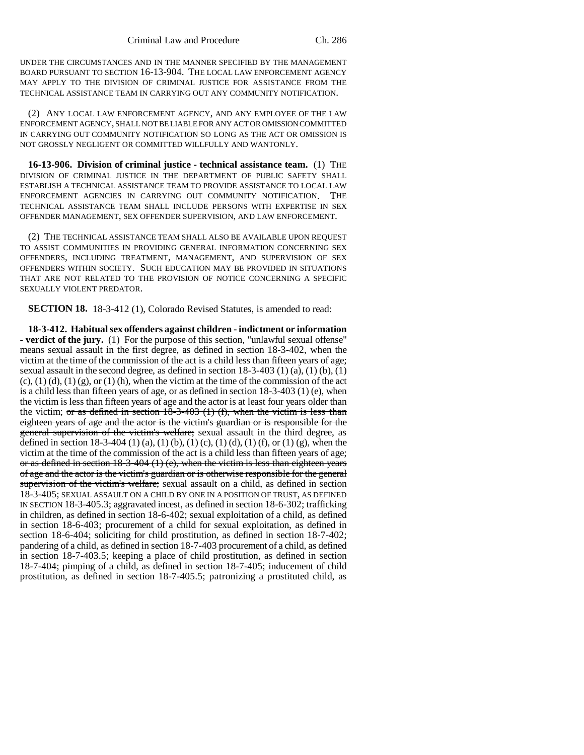UNDER THE CIRCUMSTANCES AND IN THE MANNER SPECIFIED BY THE MANAGEMENT BOARD PURSUANT TO SECTION 16-13-904. THE LOCAL LAW ENFORCEMENT AGENCY MAY APPLY TO THE DIVISION OF CRIMINAL JUSTICE FOR ASSISTANCE FROM THE TECHNICAL ASSISTANCE TEAM IN CARRYING OUT ANY COMMUNITY NOTIFICATION.

(2) ANY LOCAL LAW ENFORCEMENT AGENCY, AND ANY EMPLOYEE OF THE LAW ENFORCEMENT AGENCY, SHALL NOT BE LIABLE FOR ANY ACT OR OMISSION COMMITTED IN CARRYING OUT COMMUNITY NOTIFICATION SO LONG AS THE ACT OR OMISSION IS NOT GROSSLY NEGLIGENT OR COMMITTED WILLFULLY AND WANTONLY.

**16-13-906. Division of criminal justice - technical assistance team.** (1) THE DIVISION OF CRIMINAL JUSTICE IN THE DEPARTMENT OF PUBLIC SAFETY SHALL ESTABLISH A TECHNICAL ASSISTANCE TEAM TO PROVIDE ASSISTANCE TO LOCAL LAW ENFORCEMENT AGENCIES IN CARRYING OUT COMMUNITY NOTIFICATION. THE TECHNICAL ASSISTANCE TEAM SHALL INCLUDE PERSONS WITH EXPERTISE IN SEX OFFENDER MANAGEMENT, SEX OFFENDER SUPERVISION, AND LAW ENFORCEMENT.

(2) THE TECHNICAL ASSISTANCE TEAM SHALL ALSO BE AVAILABLE UPON REQUEST TO ASSIST COMMUNITIES IN PROVIDING GENERAL INFORMATION CONCERNING SEX OFFENDERS, INCLUDING TREATMENT, MANAGEMENT, AND SUPERVISION OF SEX OFFENDERS WITHIN SOCIETY. SUCH EDUCATION MAY BE PROVIDED IN SITUATIONS THAT ARE NOT RELATED TO THE PROVISION OF NOTICE CONCERNING A SPECIFIC SEXUALLY VIOLENT PREDATOR.

**SECTION 18.** 18-3-412 (1), Colorado Revised Statutes, is amended to read:

**18-3-412. Habitual sex offenders against children - indictment or information - verdict of the jury.** (1) For the purpose of this section, "unlawful sexual offense" means sexual assault in the first degree, as defined in section 18-3-402, when the victim at the time of the commission of the act is a child less than fifteen years of age; sexual assault in the second degree, as defined in section 18-3-403 (1) (a), (1) (b), (1)  $(c)$ ,  $(1)$   $(d)$ ,  $(1)$   $(g)$ , or  $(1)$   $(h)$ , when the victim at the time of the commission of the act is a child less than fifteen years of age, or as defined in section  $18-3-403$  (1) (e), when the victim is less than fifteen years of age and the actor is at least four years older than the victim; or as defined in section  $18-3-403$  (1) (f), when the victim is less than eighteen years of age and the actor is the victim's guardian or is responsible for the general supervision of the victim's welfare; sexual assault in the third degree, as defined in section 18-3-404 (1) (a), (1) (b), (1) (c), (1) (d), (1) (f), or (1) (g), when the victim at the time of the commission of the act is a child less than fifteen years of age; or as defined in section  $18-3-404$  (1) (e), when the victim is less than eighteen years of age and the actor is the victim's guardian or is otherwise responsible for the general supervision of the victim's welfare; sexual assault on a child, as defined in section 18-3-405; SEXUAL ASSAULT ON A CHILD BY ONE IN A POSITION OF TRUST, AS DEFINED IN SECTION 18-3-405.3; aggravated incest, as defined in section 18-6-302; trafficking in children, as defined in section 18-6-402; sexual exploitation of a child, as defined in section 18-6-403; procurement of a child for sexual exploitation, as defined in section 18-6-404; soliciting for child prostitution, as defined in section 18-7-402; pandering of a child, as defined in section 18-7-403 procurement of a child, as defined in section 18-7-403.5; keeping a place of child prostitution, as defined in section 18-7-404; pimping of a child, as defined in section 18-7-405; inducement of child prostitution, as defined in section 18-7-405.5; patronizing a prostituted child, as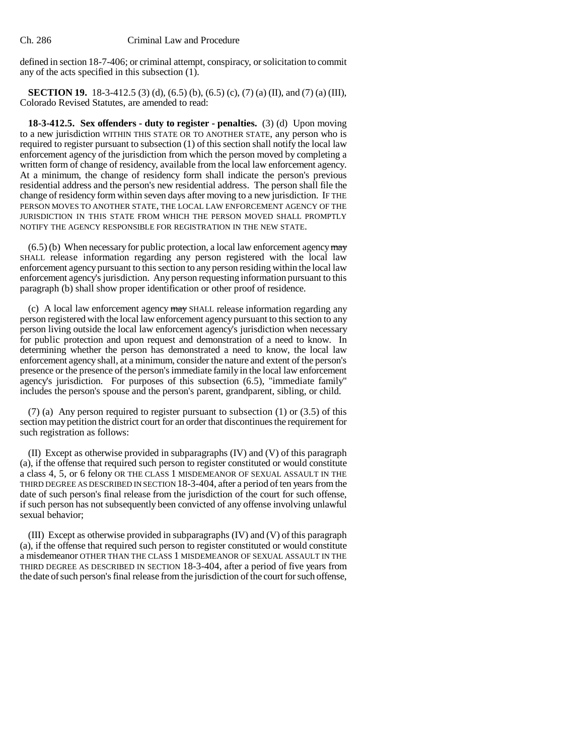defined in section 18-7-406; or criminal attempt, conspiracy, or solicitation to commit any of the acts specified in this subsection (1).

**SECTION 19.** 18-3-412.5 (3) (d), (6.5) (b), (6.5) (c), (7) (a) (II), and (7) (a) (III), Colorado Revised Statutes, are amended to read:

**18-3-412.5. Sex offenders - duty to register - penalties.** (3) (d) Upon moving to a new jurisdiction WITHIN THIS STATE OR TO ANOTHER STATE, any person who is required to register pursuant to subsection (1) of this section shall notify the local law enforcement agency of the jurisdiction from which the person moved by completing a written form of change of residency, available from the local law enforcement agency. At a minimum, the change of residency form shall indicate the person's previous residential address and the person's new residential address. The person shall file the change of residency form within seven days after moving to a new jurisdiction. IF THE PERSON MOVES TO ANOTHER STATE, THE LOCAL LAW ENFORCEMENT AGENCY OF THE JURISDICTION IN THIS STATE FROM WHICH THE PERSON MOVED SHALL PROMPTLY NOTIFY THE AGENCY RESPONSIBLE FOR REGISTRATION IN THE NEW STATE.

 $(6.5)$  (b) When necessary for public protection, a local law enforcement agency  $\frac{m}{2}$ SHALL release information regarding any person registered with the local law enforcement agency pursuant to this section to any person residing within the local law enforcement agency's jurisdiction. Any person requesting information pursuant to this paragraph (b) shall show proper identification or other proof of residence.

(c) A local law enforcement agency may SHALL release information regarding any person registered with the local law enforcement agency pursuant to this section to any person living outside the local law enforcement agency's jurisdiction when necessary for public protection and upon request and demonstration of a need to know. In determining whether the person has demonstrated a need to know, the local law enforcement agency shall, at a minimum, consider the nature and extent of the person's presence or the presence of the person's immediate family in the local law enforcement agency's jurisdiction. For purposes of this subsection (6.5), "immediate family" includes the person's spouse and the person's parent, grandparent, sibling, or child.

(7) (a) Any person required to register pursuant to subsection (1) or (3.5) of this section may petition the district court for an order that discontinues the requirement for such registration as follows:

(II) Except as otherwise provided in subparagraphs (IV) and (V) of this paragraph (a), if the offense that required such person to register constituted or would constitute a class 4, 5, or 6 felony OR THE CLASS 1 MISDEMEANOR OF SEXUAL ASSAULT IN THE THIRD DEGREE AS DESCRIBED IN SECTION 18-3-404, after a period of ten years from the date of such person's final release from the jurisdiction of the court for such offense, if such person has not subsequently been convicted of any offense involving unlawful sexual behavior;

(III) Except as otherwise provided in subparagraphs (IV) and (V) of this paragraph (a), if the offense that required such person to register constituted or would constitute a misdemeanor OTHER THAN THE CLASS 1 MISDEMEANOR OF SEXUAL ASSAULT IN THE THIRD DEGREE AS DESCRIBED IN SECTION 18-3-404, after a period of five years from the date of such person's final release from the jurisdiction of the court for such offense,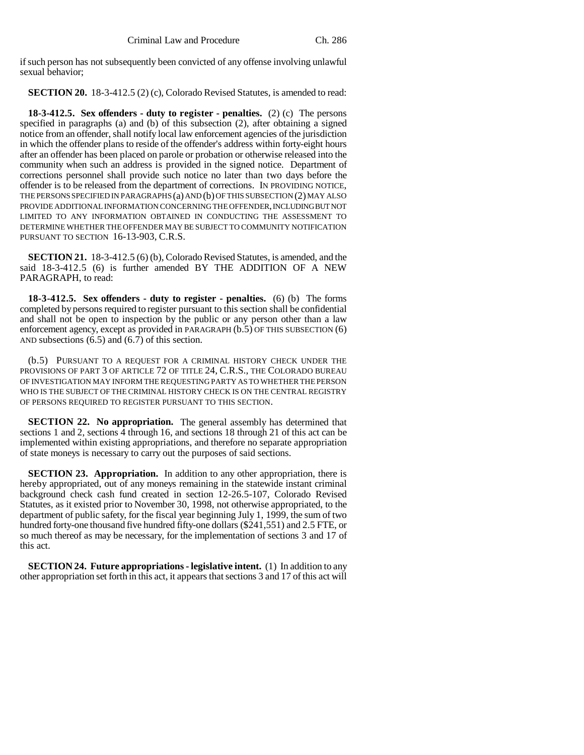if such person has not subsequently been convicted of any offense involving unlawful sexual behavior;

**SECTION 20.** 18-3-412.5 (2) (c), Colorado Revised Statutes, is amended to read:

**18-3-412.5. Sex offenders - duty to register - penalties.** (2) (c) The persons specified in paragraphs (a) and (b) of this subsection (2), after obtaining a signed notice from an offender, shall notify local law enforcement agencies of the jurisdiction in which the offender plans to reside of the offender's address within forty-eight hours after an offender has been placed on parole or probation or otherwise released into the community when such an address is provided in the signed notice. Department of corrections personnel shall provide such notice no later than two days before the offender is to be released from the department of corrections. IN PROVIDING NOTICE, THE PERSONS SPECIFIED IN PARAGRAPHS (a) AND (b) OF THIS SUBSECTION (2) MAY ALSO PROVIDE ADDITIONAL INFORMATION CONCERNING THE OFFENDER, INCLUDING BUT NOT LIMITED TO ANY INFORMATION OBTAINED IN CONDUCTING THE ASSESSMENT TO DETERMINE WHETHER THE OFFENDER MAY BE SUBJECT TO COMMUNITY NOTIFICATION PURSUANT TO SECTION 16-13-903, C.R.S.

**SECTION 21.** 18-3-412.5 (6) (b), Colorado Revised Statutes, is amended, and the said 18-3-412.5 (6) is further amended BY THE ADDITION OF A NEW PARAGRAPH, to read:

**18-3-412.5. Sex offenders - duty to register - penalties.** (6) (b) The forms completed by persons required to register pursuant to this section shall be confidential and shall not be open to inspection by the public or any person other than a law enforcement agency, except as provided in PARAGRAPH (b.5) OF THIS SUBSECTION (6) AND subsections (6.5) and (6.7) of this section.

(b.5) PURSUANT TO A REQUEST FOR A CRIMINAL HISTORY CHECK UNDER THE PROVISIONS OF PART 3 OF ARTICLE 72 OF TITLE 24, C.R.S., THE COLORADO BUREAU OF INVESTIGATION MAY INFORM THE REQUESTING PARTY AS TO WHETHER THE PERSON WHO IS THE SUBJECT OF THE CRIMINAL HISTORY CHECK IS ON THE CENTRAL REGISTRY OF PERSONS REQUIRED TO REGISTER PURSUANT TO THIS SECTION.

**SECTION 22. No appropriation.** The general assembly has determined that sections 1 and 2, sections 4 through 16, and sections 18 through 21 of this act can be implemented within existing appropriations, and therefore no separate appropriation of state moneys is necessary to carry out the purposes of said sections.

**SECTION 23. Appropriation.** In addition to any other appropriation, there is hereby appropriated, out of any moneys remaining in the statewide instant criminal background check cash fund created in section 12-26.5-107, Colorado Revised Statutes, as it existed prior to November 30, 1998, not otherwise appropriated, to the department of public safety, for the fiscal year beginning July 1, 1999, the sum of two hundred forty-one thousand five hundred fifty-one dollars (\$241,551) and 2.5 FTE, or so much thereof as may be necessary, for the implementation of sections 3 and 17 of this act.

**SECTION 24. Future appropriations - legislative intent.** (1) In addition to any other appropriation set forth in this act, it appears that sections 3 and 17 of this act will